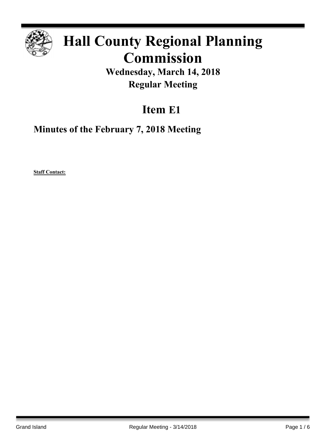

# **Hall County Regional Planning Commission**

**Wednesday, March 14, 2018 Regular Meeting**

# **Item E1**

**Minutes of the February 7, 2018 Meeting**

**Staff Contact:**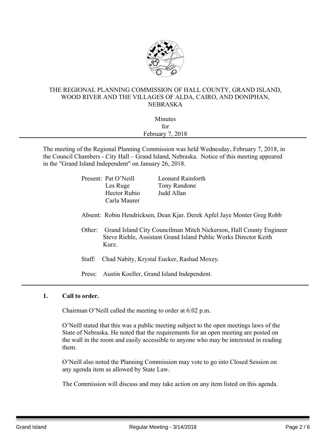

# THE REGIONAL PLANNING COMMISSION OF HALL COUNTY, GRAND ISLAND, WOOD RIVER AND THE VILLAGES OF ALDA, CAIRO, AND DONIPHAN, NEBRASKA

| Minutes          |  |
|------------------|--|
| for              |  |
| February 7, 2018 |  |
|                  |  |

The meeting of the Regional Planning Commission was held Wednesday, February 7, 2018, in the Council Chambers - City Hall – Grand Island, Nebraska. Notice of this meeting appeared in the "Grand Island Independent" on January 26, 2018.

|        | Present: Pat O'Neill | <b>Leonard Rainforth</b>                                                                                                               |
|--------|----------------------|----------------------------------------------------------------------------------------------------------------------------------------|
|        | Les Ruge             | Tony Randone                                                                                                                           |
|        | <b>Hector Rubio</b>  | Judd Allan                                                                                                                             |
|        | Carla Maurer         |                                                                                                                                        |
|        |                      | Absent: Robin Hendricksen, Dean Kjar. Derek Apfel Jaye Monter Greg Robb                                                                |
| Other: | Kurz.                | Grand Island City Councilman Mitch Nickerson, Hall County Engineer<br>Steve Riehle, Assistant Grand Island Public Works Director Keith |
| Staff: |                      | Chad Nabity, Krystal Eucker, Rashad Moxey.                                                                                             |

Press: Austin Koeller, Grand Island Independent.

# **1. Call to order.**

Chairman O'Neill called the meeting to order at 6:02 p.m.

O'Neill stated that this was a public meeting subject to the open meetings laws of the State of Nebraska. He noted that the requirements for an open meeting are posted on the wall in the room and easily accessible to anyone who may be interested in reading them.

O'Neill also noted the Planning Commission may vote to go into Closed Session on any agenda item as allowed by State Law.

The Commission will discuss and may take action on any item listed on this agenda.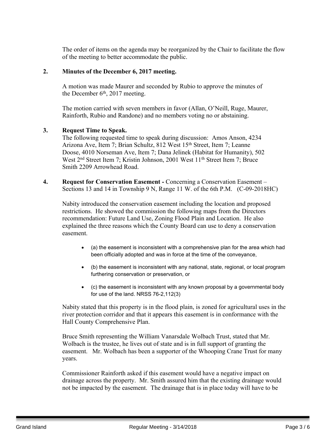The order of items on the agenda may be reorganized by the Chair to facilitate the flow of the meeting to better accommodate the public.

## **2. Minutes of the December 6, 2017 meeting.**

A motion was made Maurer and seconded by Rubio to approve the minutes of the December  $6<sup>th</sup>$ , 2017 meeting.

The motion carried with seven members in favor (Allan, O'Neill, Ruge, Maurer, Rainforth, Rubio and Randone) and no members voting no or abstaining.

#### **3. Request Time to Speak.**

The following requested time to speak during discussion: Amos Anson, 4234 Arizona Ave, Item 7; Brian Schultz, 812 West 15<sup>th</sup> Street, Item 7; Leanne Doose, 4010 Norseman Ave, Item 7; Dana Jelinek (Habitat for Humanity), 502 West 2<sup>nd</sup> Street Item 7; Kristin Johnson, 2001 West 11<sup>th</sup> Street Item 7; Bruce Smith 2209 Arrowhead Road.

**4. Request for Conservation Easement -** Concerning a Conservation Easement – Sections 13 and 14 in Township 9 N, Range 11 W. of the 6th P.M. (C-09-2018HC)

Nabity introduced the conservation easement including the location and proposed restrictions. He showed the commission the following maps from the Directors recommendation: Future Land Use, Zoning Flood Plain and Location. He also explained the three reasons which the County Board can use to deny a conservation easement.

- (a) the easement is inconsistent with a comprehensive plan for the area which had been officially adopted and was in force at the time of the conveyance,
- (b) the easement is inconsistent with any national, state, regional, or local program furthering conservation or preservation, or
- (c) the easement is inconsistent with any known proposal by a governmental body for use of the land. NRSS 76-2,112(3)

Nabity stated that this property is in the flood plain, is zoned for agricultural uses in the river protection corridor and that it appears this easement is in conformance with the Hall County Comprehensive Plan.

Bruce Smith representing the William Vanarsdale Wolbach Trust, stated that Mr. Wolbach is the trustee, he lives out of state and is in full support of granting the easement. Mr. Wolbach has been a supporter of the Whooping Crane Trust for many years.

Commissioner Rainforth asked if this easement would have a negative impact on drainage across the property. Mr. Smith assured him that the existing drainage would not be impacted by the easement. The drainage that is in place today will have to be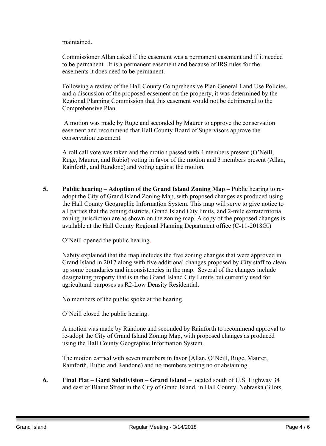maintained.

Commissioner Allan asked if the easement was a permanent easement and if it needed to be permanent. It is a permanent easement and because of IRS rules for the easements it does need to be permanent.

Following a review of the Hall County Comprehensive Plan General Land Use Policies, and a discussion of the proposed easement on the property, it was determined by the Regional Planning Commission that this easement would not be detrimental to the Comprehensive Plan.

A motion was made by Ruge and seconded by Maurer to approve the conservation easement and recommend that Hall County Board of Supervisors approve the conservation easement.

A roll call vote was taken and the motion passed with 4 members present (O'Neill, Ruge, Maurer, and Rubio) voting in favor of the motion and 3 members present (Allan, Rainforth, and Randone) and voting against the motion.

**5. Public hearing – Adoption of the Grand Island Zoning Map –** Public hearing to readopt the City of Grand Island Zoning Map, with proposed changes as produced using the Hall County Geographic Information System. This map will serve to give notice to all parties that the zoning districts, Grand Island City limits, and 2-mile extraterritorial zoning jurisdiction are as shown on the zoning map. A copy of the proposed changes is available at the Hall County Regional Planning Department office (C-11-2018GI)

O'Neill opened the public hearing.

Nabity explained that the map includes the five zoning changes that were approved in Grand Island in 2017 along with five additional changes proposed by City staff to clean up some boundaries and inconsistencies in the map. Several of the changes include designating property that is in the Grand Island City Limits but currently used for agricultural purposes as R2-Low Density Residential.

No members of the public spoke at the hearing.

O'Neill closed the public hearing.

A motion was made by Randone and seconded by Rainforth to recommend approval to re-adopt the City of Grand Island Zoning Map, with proposed changes as produced using the Hall County Geographic Information System.

The motion carried with seven members in favor (Allan, O'Neill, Ruge, Maurer, Rainforth, Rubio and Randone) and no members voting no or abstaining.

**6. Final Plat – Gard Subdivision – Grand Island –** located south of U.S. Highway 34 and east of Blaine Street in the City of Grand Island, in Hall County, Nebraska (3 lots,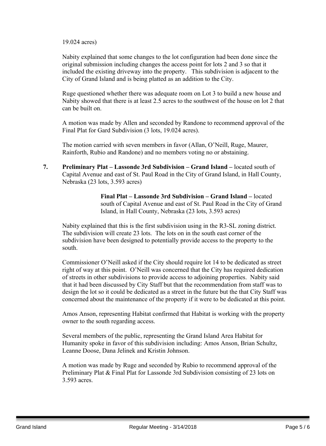#### 19.024 acres)

Nabity explained that some changes to the lot configuration had been done since the original submission including changes the access point for lots 2 and 3 so that it included the existing driveway into the property. This subdivision is adjacent to the City of Grand Island and is being platted as an addition to the City.

Ruge questioned whether there was adequate room on Lot 3 to build a new house and Nabity showed that there is at least 2.5 acres to the southwest of the house on lot 2 that can be built on.

A motion was made by Allen and seconded by Randone to recommend approval of the Final Plat for Gard Subdivision (3 lots, 19.024 acres).

The motion carried with seven members in favor (Allan, O'Neill, Ruge, Maurer, Rainforth, Rubio and Randone) and no members voting no or abstaining.

**7. Preliminary Plat – Lassonde 3rd Subdivision – Grand Island –** located south of Capital Avenue and east of St. Paul Road in the City of Grand Island, in Hall County, Nebraska (23 lots, 3.593 acres)

> **Final Plat – Lassonde 3rd Subdivision – Grand Island –** located south of Capital Avenue and east of St. Paul Road in the City of Grand Island, in Hall County, Nebraska (23 lots, 3.593 acres)

Nabity explained that this is the first subdivision using in the R3-SL zoning district. The subdivision will create 23 lots. The lots on in the south east corner of the subdivision have been designed to potentially provide access to the property to the south.

Commissioner O'Neill asked if the City should require lot 14 to be dedicated as street right of way at this point. O'Neill was concerned that the City has required dedication of streets in other subdivisions to provide access to adjoining properties. Nabity said that it had been discussed by City Staff but that the recommendation from staff was to design the lot so it could be dedicated as a street in the future but the that City Staff was concerned about the maintenance of the property if it were to be dedicated at this point.

Amos Anson, representing Habitat confirmed that Habitat is working with the property owner to the south regarding access.

Several members of the public, representing the Grand Island Area Habitat for Humanity spoke in favor of this subdivision including: Amos Anson, Brian Schultz, Leanne Doose, Dana Jelinek and Kristin Johnson.

A motion was made by Ruge and seconded by Rubio to recommend approval of the Preliminary Plat & Final Plat for Lassonde 3rd Subdivision consisting of 23 lots on 3.593 acres.